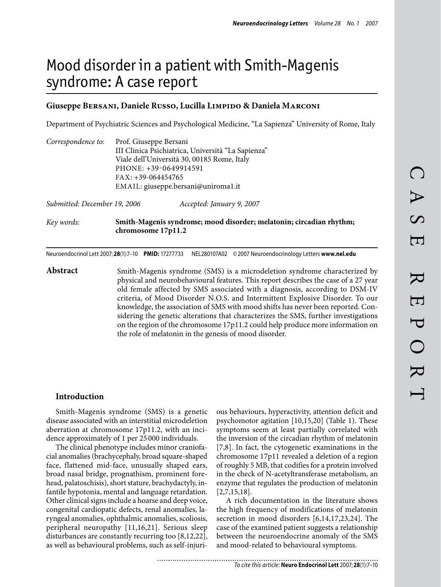# Mood disorder in a patient with Smith-Magenis syndrome: A case report

# Giuseppe BERSANI, Daniele Russo, Lucilla LIMPIDO & Daniela MARCONI

Department of Psychiatric Sciences and Psychological Medicine, "La Sapienza" University of Rome, Italy

| Correspondence to:           | Prof. Giuseppe Bersani                             |                           |  |
|------------------------------|----------------------------------------------------|---------------------------|--|
|                              | III Clinica Psichiatrica, Università "La Sapienza" |                           |  |
|                              | Viale dell'Università 30, 00185 Rome, Italy        |                           |  |
|                              | PHONE: +39-0649914591                              |                           |  |
|                              | $FAX: +39-064454765$                               |                           |  |
|                              | EMAIL: giuseppe.bersani@uniroma1.it                |                           |  |
| Submitted: December 19, 2006 |                                                    | Accepted: January 9, 2007 |  |

*Key words:* **Smith-Magenis syndrome; mood disorder; melatonin; circadian rhythm; chromosome 17p11.2**

Neuroendocrinol Lett 2007; **28**(1):7–10 **PMID:** 17277733 NEL280107A02 ©2007 Neuroendocrinology Letters **www.nel.edu**

**Abstract** Smith-Magenis syndrome (SMS) is a microdeletion syndrome characterized by physical and neurobehavioural features. This report describes the case of a 27 year old female affected by SMS associated with a diagnosis, according to DSM-IV criteria, of Mood Disorder N.O.S. and Intermittent Explosive Disorder. To our knowledge, the association of SMS with mood shifts has never been reported. Considering the genetic alterations that characterizes the SMS, further investigations on the region of the chromosome 17p11.2 could help produce more information on the role of melatonin in the genesis of mood disorder.

# **Introduction**

Smith-Magenis syndrome (SMS) is a genetic disease associated with an interstitial microdeletion aberration at chromosome 17p11.2, with an incidence approximately of 1 per 25 000 individuals.

The clinical phenotype includes minor craniofacial anomalies (brachycephaly, broad square-shaped face, flattened mid-face, unusually shaped ears, broad nasal bridge, prognathism, prominent forehead, palatoschisis), short stature, brachydactyly, infantile hypotonia, mental and language retardation. Other clinical signs include a hoarse and deep voice, congenital cardiopatic defects, renal anomalies, laryngeal anomalies, ophthalmic anomalies, scoliosis, peripheral neuropathy [11,16,21]. Serious sleep disturbances are constantly recurring too [8,12,22], as well as behavioural problems, such as self-injurious behaviours, hyperactivity, attention deficit and psychomotor agitation [10,15,20] (Table 1). These symptoms seem at least partially correlated with the inversion of the circadian rhythm of melatonin [7,8]. In fact, the cytogenetic examinations in the chromosome 17p11 revealed a deletion of a region of roughly 5 MB, that codifies for a protein involved in the check of N-acetyltransferase metabolism, an enzyme that regulates the production of melatonin [2,7,15,18].

A rich documentation in the literature shows the high frequency of modifications of melatonin secretion in mood disorders [6,14,17,23,24]. The case of the examined patient suggests a relationship between the neuroendocrine anomaly of the SMS and mood-related to behavioural symptoms.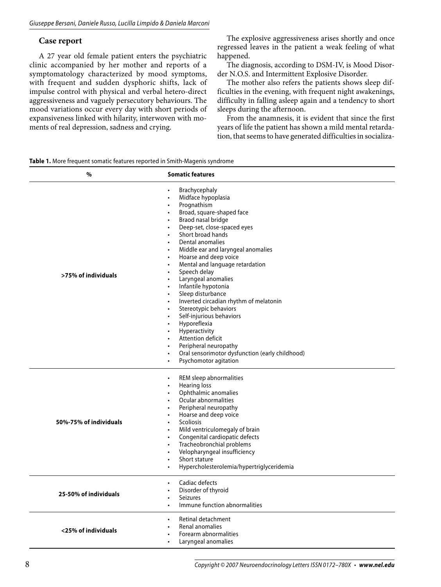# **Case report**

A 27 year old female patient enters the psychiatric clinic accompanied by her mother and reports of a symptomatology characterized by mood symptoms, with frequent and sudden dysphoric shifts, lack of impulse control with physical and verbal hetero-direct aggressiveness and vaguely persecutory behaviours. The mood variations occur every day with short periods of expansiveness linked with hilarity, interwoven with moments of real depression, sadness and crying.

The explosive aggressiveness arises shortly and once regressed leaves in the patient a weak feeling of what happened.

The diagnosis, according to DSM-IV, is Mood Disorder N.O.S. and Intermittent Explosive Disorder.

The mother also refers the patients shows sleep difficulties in the evening, with frequent night awakenings, difficulty in falling asleep again and a tendency to short sleeps during the afternoon.

From the anamnesis, it is evident that since the first years of life the patient has shown a mild mental retardation, that seems to have generated difficulties in socializa-

| Table 1. More frequent somatic features reported in Smith-Magenis syndrome |  |  |
|----------------------------------------------------------------------------|--|--|
|----------------------------------------------------------------------------|--|--|

| %                      | <b>Somatic features</b>                                                                                                                                                                                                                                                                                                                                                                                                                                                                                                                                                                                                                                                                                                 |
|------------------------|-------------------------------------------------------------------------------------------------------------------------------------------------------------------------------------------------------------------------------------------------------------------------------------------------------------------------------------------------------------------------------------------------------------------------------------------------------------------------------------------------------------------------------------------------------------------------------------------------------------------------------------------------------------------------------------------------------------------------|
| >75% of individuals    | Brachycephaly<br>Midface hypoplasia<br>Prognathism<br>Broad, square-shaped face<br>Braod nasal bridge<br>Deep-set, close-spaced eyes<br>Short broad hands<br>Dental anomalies<br>Middle ear and laryngeal anomalies<br>$\bullet$<br>Hoarse and deep voice<br>$\bullet$<br>Mental and language retardation<br>Speech delay<br>Laryngeal anomalies<br>Infantile hypotonia<br>$\bullet$<br>Sleep disturbance<br>$\bullet$<br>Inverted circadian rhythm of melatonin<br>$\bullet$<br>Stereotypic behaviors<br>Self-injurious behaviors<br>Hyporeflexia<br>Hyperactivity<br>Attention deficit<br>Peripheral neuropathy<br>Oral sensorimotor dysfunction (early childhood)<br>$\bullet$<br>Psychomotor agitation<br>$\bullet$ |
| 50%-75% of individuals | REM sleep abnormalities<br><b>Hearing loss</b><br>Ophthalmic anomalies<br>Ocular abnormalities<br>Peripheral neuropathy<br>Hoarse and deep voice<br>Scoliosis<br>$\bullet$<br>Mild ventriculomegaly of brain<br>Congenital cardiopatic defects<br>Tracheobronchial problems<br>Velopharyngeal insufficiency<br>$\bullet$<br>Short stature<br>$\bullet$<br>Hypercholesterolemia/hypertriglyceridemia<br>$\bullet$                                                                                                                                                                                                                                                                                                        |
| 25-50% of individuals  | Cadiac defects<br>Disorder of thyroid<br><b>Seizures</b><br>Immune function abnormalities<br>$\bullet$                                                                                                                                                                                                                                                                                                                                                                                                                                                                                                                                                                                                                  |
| <25% of individuals    | Retinal detachment<br>Renal anomalies<br>Forearm abnormalities<br>Laryngeal anomalies                                                                                                                                                                                                                                                                                                                                                                                                                                                                                                                                                                                                                                   |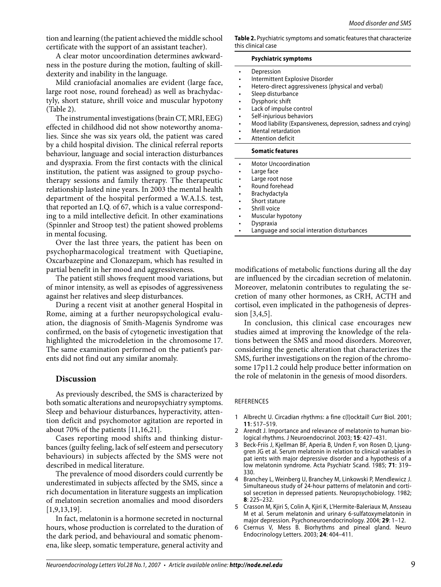tion and learning (the patient achieved the middle school certificate with the support of an assistant teacher).

A clear motor uncoordination determines awkwardness in the posture during the motion, faulting of skilldexterity and inability in the language.

Mild craniofacial anomalies are evident (large face large root nose, round forehead) as well as brachyda tyly, short stature, shrill voice and muscular hypoton (Table 2).

The instrumental investigations (brain CT, MRI, EEG) effected in childhood did not show noteworthy anom lies. Since she was six years old, the patient was cared by a child hospital division. The clinical referral report behaviour, language and social interaction disturbances and dyspraxia. From the first contacts with the clinic institution, the patient was assigned to group psychotherapy sessions and family therapy. The therapeut relationship lasted nine years. In 2003 the mental health department of the hospital performed a W.A.I.S. te that reported an I.Q. of  $67$ , which is a value correspond ing to a mild intellective deficit. In other examination (Spinnler and Stroop test) the patient showed problem in mental focusing.

Over the last three years, the patient has been on psychopharmacological treatment with Quetiapine, Oxcarbazepine and Clonazepam, which has resulted in partial benefit in her mood and aggressiveness.

The patient still shows frequent mood variations, but of minor intensity, as well as episodes of aggressiveness against her relatives and sleep disturbances.

During a recent visit at another general Hospital in Rome, aiming at a further neuropsychological evaluation, the diagnosis of Smith-Magenis Syndrome was confirmed, on the basis of cytogenetic investigation that highlighted the microdeletion in the chromosome 17. The same examination performed on the patient's parents did not find out any similar anomaly.

## **Discussion**

As previously described, the SMS is characterized by both somatic alterations and neuropsychiatry symptoms. Sleep and behaviour disturbances, hyperactivity, attention deficit and psychomotor agitation are reported in about 70% of the patients [11,16,21].

Cases reporting mood shifts and thinking disturbances (guilty feeling, lack of self esteem and persecutory behaviours) in subjects affected by the SMS were not described in medical literature.

The prevalence of mood disorders could currently be underestimated in subjects affected by the SMS, since a rich documentation in literature suggests an implication of melatonin secretion anomalies and mood disorders [1,9,13,19].

In fact, melatonin is a hormone secreted in nocturnal hours, whose production is correlated to the duration of the dark period, and behavioural and somatic phenomena, like sleep, somatic temperature, general activity and

**Table 2.** Psychiatric symptoms and somatic features that characterize this clinical case

#### **Psychiatric symptoms**

|           | Depression                                                     |
|-----------|----------------------------------------------------------------|
|           | Intermittent Explosive Disorder                                |
|           | Hetero-direct aggressiveness (physical and verbal)             |
|           | Sleep disturbance                                              |
|           | Dysphoric shift                                                |
|           | Lack of impulse control                                        |
|           | Self-injurious behaviors                                       |
|           | Mood liability (Expansiveness, depression, sadness and crying) |
|           | Mental retardation                                             |
|           |                                                                |
|           | Attention deficit                                              |
|           | <b>Somatic features</b>                                        |
|           | <b>Motor Uncoordination</b>                                    |
|           | Large face                                                     |
|           | Large root nose                                                |
|           | Round forehead                                                 |
|           | <b>Brachydactyla</b>                                           |
|           | Short stature                                                  |
| $\bullet$ | Shrill voice                                                   |
|           | Muscular hypotony                                              |
|           | Dyspraxia                                                      |

modifications of metabolic functions during all the day are influenced by the circadian secretion of melatonin. Moreover, melatonin contributes to regulating the secretion of many other hormones, as CRH, ACTH and cortisol, even implicated in the pathogenesis of depression [3,4,5].

In conclusion, this clinical case encourages new studies aimed at improving the knowledge of the relations between the SMS and mood disorders. Moreover, considering the genetic alteration that characterizes the SMS, further investigations on the region of the chromosome 17p11.2 could help produce better information on the role of melatonin in the genesis of mood disorders.

### **REFERENCES**

- 1 Albrecht U. Circadian rhythms: a fine c(l)ocktail! Curr Biol. 2001; **11**: 517–519.
- Arendt J. Importance and relevance of melatonin to human biological rhythms. J Neuroendocrinol. 2003; **15**: 427–431. 2
- Beck-Friis J, Kjellman BF, Aperia B, Unden F, von Rosen D, Ljunggren JG et al. Serum melatonin in relation to clinical variables in pat ients with major depressive disorder and a hypothesis of a low melatonin syndrome. Acta Psychiatr Scand. 1985; **71**: 319– 330. 3
- Branchey L, Weinberg U, Branchey M, Linkowski P, Mendlewicz J. Simultaneous study of 24-hour patterns of melatonin and cortisol secretion in depressed patients. Neuropsychobiology. 1982; **8**: 225–232. 4
- Crasson M, Kjiri S, Colin A, Kjiri K, L'Hermite-Baleriaux M, Ansseau M et al. Serum melatonin and urinary 6-sulfatoxymelatonin in major depression. Psychoneuroendocrinology. 2004; **29**: 1–12. 5
- Csernus V, Mess B. Biorhythms and pineal gland. Neuro Endocrinology Letters. 2003; **24**: 404–411. 6